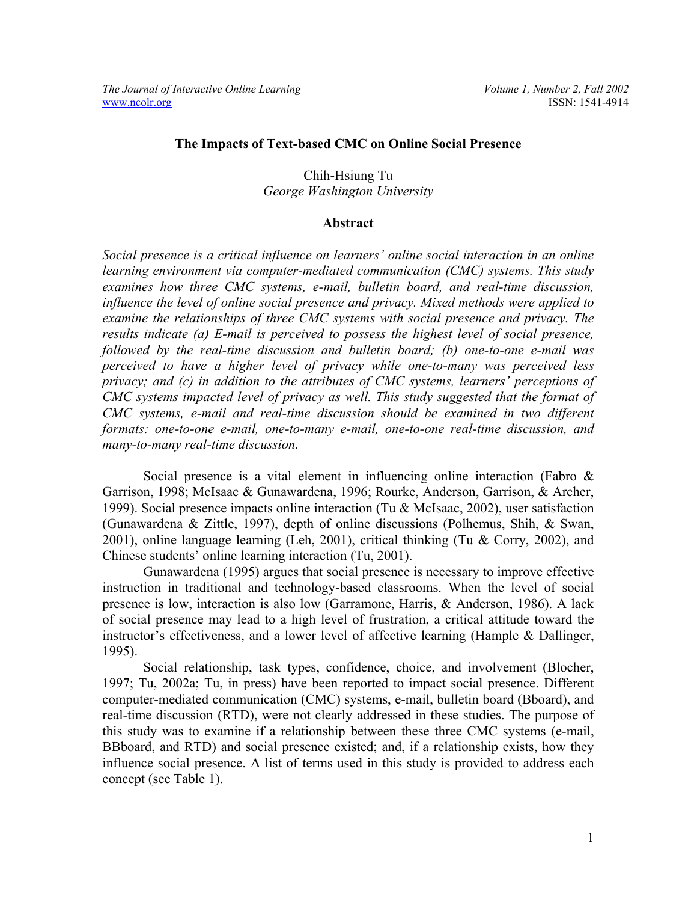## **The Impacts of Text-based CMC on Online Social Presence**

# Chih-Hsiung Tu *George Washington University*

#### **Abstract**

*Social presence is a critical influence on learners' online social interaction in an online learning environment via computer-mediated communication (CMC) systems. This study examines how three CMC systems, e-mail, bulletin board, and real-time discussion, influence the level of online social presence and privacy. Mixed methods were applied to examine the relationships of three CMC systems with social presence and privacy. The results indicate (a) E-mail is perceived to possess the highest level of social presence, followed by the real-time discussion and bulletin board; (b) one-to-one e-mail was perceived to have a higher level of privacy while one-to-many was perceived less privacy; and (c) in addition to the attributes of CMC systems, learners' perceptions of CMC systems impacted level of privacy as well. This study suggested that the format of CMC systems, e-mail and real-time discussion should be examined in two different formats: one-to-one e-mail, one-to-many e-mail, one-to-one real-time discussion, and many-to-many real-time discussion.* 

Social presence is a vital element in influencing online interaction (Fabro & Garrison, 1998; McIsaac & Gunawardena, 1996; Rourke, Anderson, Garrison, & Archer, 1999). Social presence impacts online interaction (Tu & McIsaac, 2002), user satisfaction (Gunawardena & Zittle, 1997), depth of online discussions (Polhemus, Shih, & Swan, 2001), online language learning (Leh, 2001), critical thinking (Tu & Corry, 2002), and Chinese students' online learning interaction (Tu, 2001).

Gunawardena (1995) argues that social presence is necessary to improve effective instruction in traditional and technology-based classrooms. When the level of social presence is low, interaction is also low (Garramone, Harris, & Anderson, 1986). A lack of social presence may lead to a high level of frustration, a critical attitude toward the instructor's effectiveness, and a lower level of affective learning (Hample & Dallinger, 1995).

Social relationship, task types, confidence, choice, and involvement (Blocher, 1997; Tu, 2002a; Tu, in press) have been reported to impact social presence. Different computer-mediated communication (CMC) systems, e-mail, bulletin board (Bboard), and real-time discussion (RTD), were not clearly addressed in these studies. The purpose of this study was to examine if a relationship between these three CMC systems (e-mail, BBboard, and RTD) and social presence existed; and, if a relationship exists, how they influence social presence. A list of terms used in this study is provided to address each concept (see Table 1).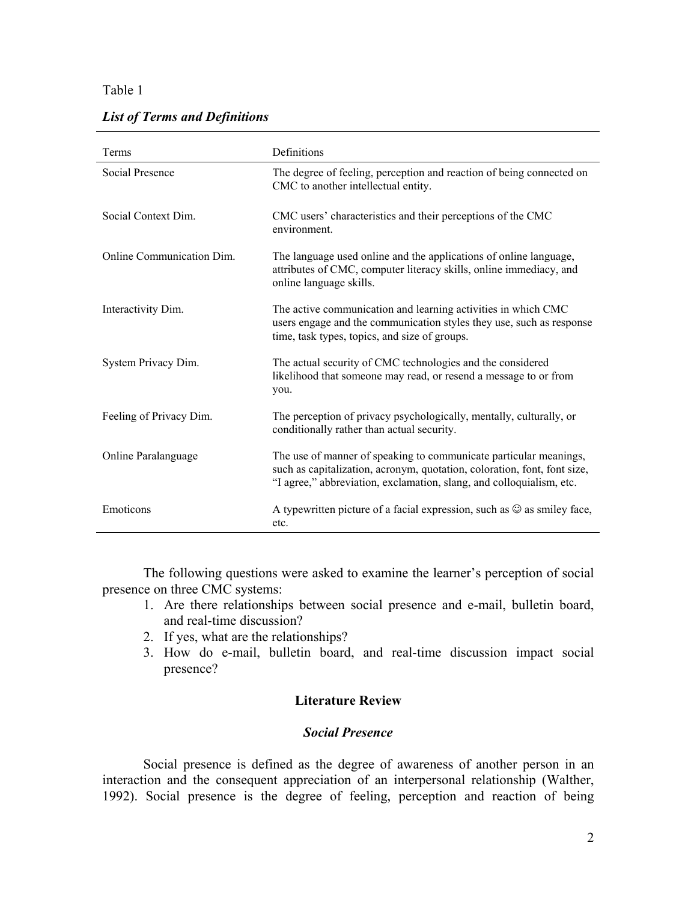|  |  |  | <b>List of Terms and Definitions</b> |
|--|--|--|--------------------------------------|
|  |  |  |                                      |

| Terms                     | Definitions                                                                                                                                                                                                           |
|---------------------------|-----------------------------------------------------------------------------------------------------------------------------------------------------------------------------------------------------------------------|
| Social Presence           | The degree of feeling, perception and reaction of being connected on<br>CMC to another intellectual entity.                                                                                                           |
| Social Context Dim.       | CMC users' characteristics and their perceptions of the CMC<br>environment.                                                                                                                                           |
| Online Communication Dim. | The language used online and the applications of online language,<br>attributes of CMC, computer literacy skills, online immediacy, and<br>online language skills.                                                    |
| Interactivity Dim.        | The active communication and learning activities in which CMC<br>users engage and the communication styles they use, such as response<br>time, task types, topics, and size of groups.                                |
| System Privacy Dim.       | The actual security of CMC technologies and the considered<br>likelihood that someone may read, or resend a message to or from<br>you.                                                                                |
| Feeling of Privacy Dim.   | The perception of privacy psychologically, mentally, culturally, or<br>conditionally rather than actual security.                                                                                                     |
| Online Paralanguage       | The use of manner of speaking to communicate particular meanings,<br>such as capitalization, acronym, quotation, coloration, font, font size,<br>"I agree," abbreviation, exclamation, slang, and colloquialism, etc. |
| Emoticons                 | A typewritten picture of a facial expression, such as $\odot$ as smiley face,<br>etc.                                                                                                                                 |

The following questions were asked to examine the learner's perception of social presence on three CMC systems:

- 1. Are there relationships between social presence and e-mail, bulletin board, and real-time discussion?
- 2. If yes, what are the relationships?
- 3. How do e-mail, bulletin board, and real-time discussion impact social presence?

# **Literature Review**

# *Social Presence*

Social presence is defined as the degree of awareness of another person in an interaction and the consequent appreciation of an interpersonal relationship (Walther, 1992). Social presence is the degree of feeling, perception and reaction of being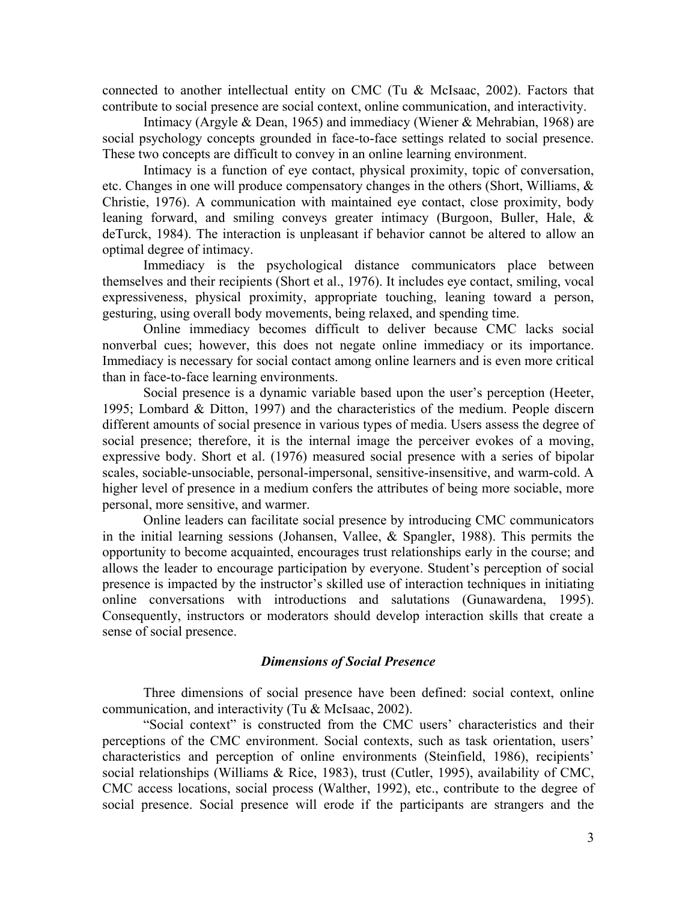connected to another intellectual entity on CMC (Tu & McIsaac, 2002). Factors that contribute to social presence are social context, online communication, and interactivity.

Intimacy (Argyle & Dean, 1965) and immediacy (Wiener & Mehrabian, 1968) are social psychology concepts grounded in face-to-face settings related to social presence. These two concepts are difficult to convey in an online learning environment.

Intimacy is a function of eye contact, physical proximity, topic of conversation, etc. Changes in one will produce compensatory changes in the others (Short, Williams, & Christie, 1976). A communication with maintained eye contact, close proximity, body leaning forward, and smiling conveys greater intimacy (Burgoon, Buller, Hale, & deTurck, 1984). The interaction is unpleasant if behavior cannot be altered to allow an optimal degree of intimacy.

Immediacy is the psychological distance communicators place between themselves and their recipients (Short et al., 1976). It includes eye contact, smiling, vocal expressiveness, physical proximity, appropriate touching, leaning toward a person, gesturing, using overall body movements, being relaxed, and spending time.

Online immediacy becomes difficult to deliver because CMC lacks social nonverbal cues; however, this does not negate online immediacy or its importance. Immediacy is necessary for social contact among online learners and is even more critical than in face-to-face learning environments.

Social presence is a dynamic variable based upon the user's perception (Heeter, 1995; Lombard & Ditton, 1997) and the characteristics of the medium. People discern different amounts of social presence in various types of media. Users assess the degree of social presence; therefore, it is the internal image the perceiver evokes of a moving, expressive body. Short et al. (1976) measured social presence with a series of bipolar scales, sociable-unsociable, personal-impersonal, sensitive-insensitive, and warm-cold. A higher level of presence in a medium confers the attributes of being more sociable, more personal, more sensitive, and warmer.

Online leaders can facilitate social presence by introducing CMC communicators in the initial learning sessions (Johansen, Vallee, & Spangler, 1988). This permits the opportunity to become acquainted, encourages trust relationships early in the course; and allows the leader to encourage participation by everyone. Student's perception of social presence is impacted by the instructor's skilled use of interaction techniques in initiating online conversations with introductions and salutations (Gunawardena, 1995). Consequently, instructors or moderators should develop interaction skills that create a sense of social presence.

## *Dimensions of Social Presence*

Three dimensions of social presence have been defined: social context, online communication, and interactivity (Tu & McIsaac, 2002).

"Social context" is constructed from the CMC users' characteristics and their perceptions of the CMC environment. Social contexts, such as task orientation, users' characteristics and perception of online environments (Steinfield, 1986), recipients' social relationships (Williams & Rice, 1983), trust (Cutler, 1995), availability of CMC, CMC access locations, social process (Walther, 1992), etc., contribute to the degree of social presence. Social presence will erode if the participants are strangers and the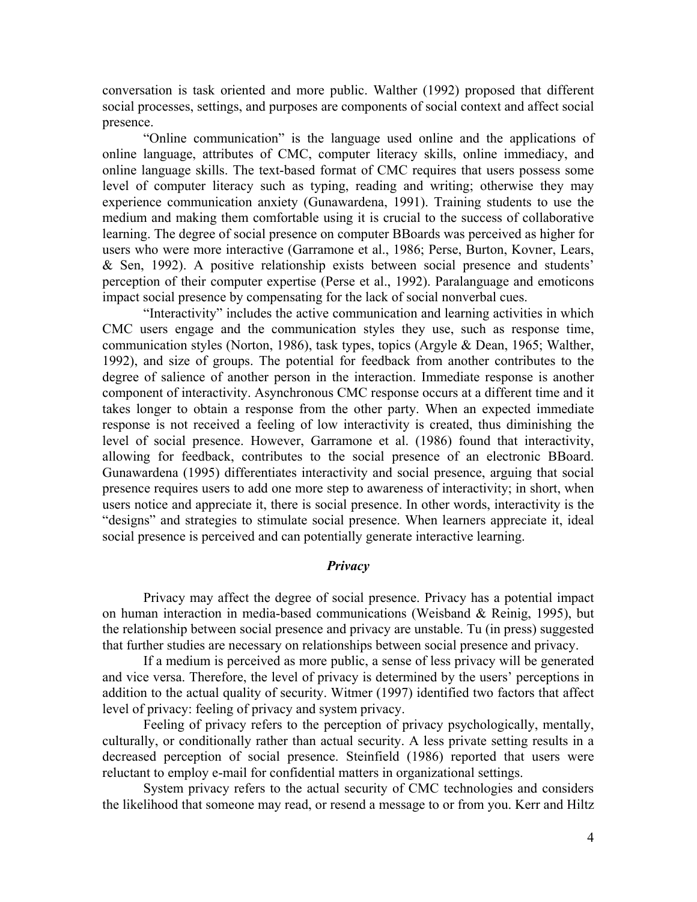conversation is task oriented and more public. Walther (1992) proposed that different social processes, settings, and purposes are components of social context and affect social presence.

"Online communication" is the language used online and the applications of online language, attributes of CMC, computer literacy skills, online immediacy, and online language skills. The text-based format of CMC requires that users possess some level of computer literacy such as typing, reading and writing; otherwise they may experience communication anxiety (Gunawardena, 1991). Training students to use the medium and making them comfortable using it is crucial to the success of collaborative learning. The degree of social presence on computer BBoards was perceived as higher for users who were more interactive (Garramone et al., 1986; Perse, Burton, Kovner, Lears, & Sen, 1992). A positive relationship exists between social presence and students' perception of their computer expertise (Perse et al., 1992). Paralanguage and emoticons impact social presence by compensating for the lack of social nonverbal cues.

"Interactivity" includes the active communication and learning activities in which CMC users engage and the communication styles they use, such as response time, communication styles (Norton, 1986), task types, topics (Argyle & Dean, 1965; Walther, 1992), and size of groups. The potential for feedback from another contributes to the degree of salience of another person in the interaction. Immediate response is another component of interactivity. Asynchronous CMC response occurs at a different time and it takes longer to obtain a response from the other party. When an expected immediate response is not received a feeling of low interactivity is created, thus diminishing the level of social presence. However, Garramone et al. (1986) found that interactivity, allowing for feedback, contributes to the social presence of an electronic BBoard. Gunawardena (1995) differentiates interactivity and social presence, arguing that social presence requires users to add one more step to awareness of interactivity; in short, when users notice and appreciate it, there is social presence. In other words, interactivity is the "designs" and strategies to stimulate social presence. When learners appreciate it, ideal social presence is perceived and can potentially generate interactive learning.

# *Privacy*

Privacy may affect the degree of social presence. Privacy has a potential impact on human interaction in media-based communications (Weisband & Reinig, 1995), but the relationship between social presence and privacy are unstable. Tu (in press) suggested that further studies are necessary on relationships between social presence and privacy.

If a medium is perceived as more public, a sense of less privacy will be generated and vice versa. Therefore, the level of privacy is determined by the users' perceptions in addition to the actual quality of security. Witmer (1997) identified two factors that affect level of privacy: feeling of privacy and system privacy.

Feeling of privacy refers to the perception of privacy psychologically, mentally, culturally, or conditionally rather than actual security. A less private setting results in a decreased perception of social presence. Steinfield (1986) reported that users were reluctant to employ e-mail for confidential matters in organizational settings.

System privacy refers to the actual security of CMC technologies and considers the likelihood that someone may read, or resend a message to or from you. Kerr and Hiltz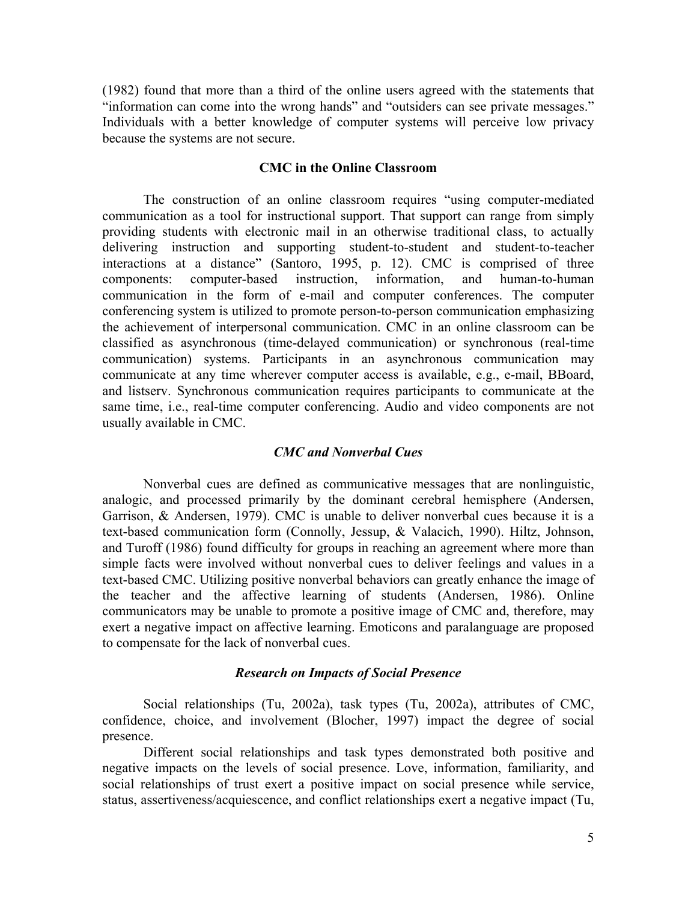(1982) found that more than a third of the online users agreed with the statements that "information can come into the wrong hands" and "outsiders can see private messages." Individuals with a better knowledge of computer systems will perceive low privacy because the systems are not secure.

## **CMC in the Online Classroom**

The construction of an online classroom requires "using computer-mediated communication as a tool for instructional support. That support can range from simply providing students with electronic mail in an otherwise traditional class, to actually delivering instruction and supporting student-to-student and student-to-teacher interactions at a distance" (Santoro, 1995, p. 12). CMC is comprised of three components: computer-based instruction, information, and human-to-human communication in the form of e-mail and computer conferences. The computer conferencing system is utilized to promote person-to-person communication emphasizing the achievement of interpersonal communication. CMC in an online classroom can be classified as asynchronous (time-delayed communication) or synchronous (real-time communication) systems. Participants in an asynchronous communication may communicate at any time wherever computer access is available, e.g., e-mail, BBoard, and listserv. Synchronous communication requires participants to communicate at the same time, i.e., real-time computer conferencing. Audio and video components are not usually available in CMC.

## *CMC and Nonverbal Cues*

Nonverbal cues are defined as communicative messages that are nonlinguistic, analogic, and processed primarily by the dominant cerebral hemisphere (Andersen, Garrison, & Andersen, 1979). CMC is unable to deliver nonverbal cues because it is a text-based communication form (Connolly, Jessup, & Valacich, 1990). Hiltz, Johnson, and Turoff (1986) found difficulty for groups in reaching an agreement where more than simple facts were involved without nonverbal cues to deliver feelings and values in a text-based CMC. Utilizing positive nonverbal behaviors can greatly enhance the image of the teacher and the affective learning of students (Andersen, 1986). Online communicators may be unable to promote a positive image of CMC and, therefore, may exert a negative impact on affective learning. Emoticons and paralanguage are proposed to compensate for the lack of nonverbal cues.

## *Research on Impacts of Social Presence*

Social relationships (Tu, 2002a), task types (Tu, 2002a), attributes of CMC, confidence, choice, and involvement (Blocher, 1997) impact the degree of social presence.

Different social relationships and task types demonstrated both positive and negative impacts on the levels of social presence. Love, information, familiarity, and social relationships of trust exert a positive impact on social presence while service, status, assertiveness/acquiescence, and conflict relationships exert a negative impact (Tu,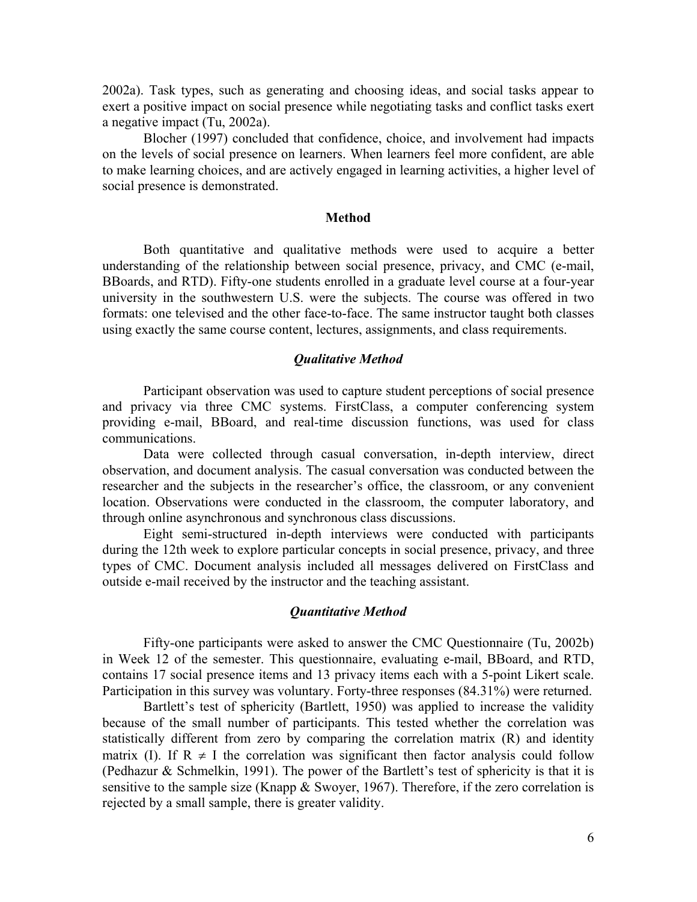2002a). Task types, such as generating and choosing ideas, and social tasks appear to exert a positive impact on social presence while negotiating tasks and conflict tasks exert a negative impact (Tu, 2002a).

Blocher (1997) concluded that confidence, choice, and involvement had impacts on the levels of social presence on learners. When learners feel more confident, are able to make learning choices, and are actively engaged in learning activities, a higher level of social presence is demonstrated.

## **Method**

Both quantitative and qualitative methods were used to acquire a better understanding of the relationship between social presence, privacy, and CMC (e-mail, BBoards, and RTD). Fifty-one students enrolled in a graduate level course at a four-year university in the southwestern U.S. were the subjects. The course was offered in two formats: one televised and the other face-to-face. The same instructor taught both classes using exactly the same course content, lectures, assignments, and class requirements.

# *Qualitative Method*

Participant observation was used to capture student perceptions of social presence and privacy via three CMC systems. FirstClass, a computer conferencing system providing e-mail, BBoard, and real-time discussion functions, was used for class communications.

Data were collected through casual conversation, in-depth interview, direct observation, and document analysis. The casual conversation was conducted between the researcher and the subjects in the researcher's office, the classroom, or any convenient location. Observations were conducted in the classroom, the computer laboratory, and through online asynchronous and synchronous class discussions.

Eight semi-structured in-depth interviews were conducted with participants during the 12th week to explore particular concepts in social presence, privacy, and three types of CMC. Document analysis included all messages delivered on FirstClass and outside e-mail received by the instructor and the teaching assistant.

#### *Quantitative Method*

Fifty-one participants were asked to answer the CMC Questionnaire (Tu, 2002b) in Week 12 of the semester. This questionnaire, evaluating e-mail, BBoard, and RTD, contains 17 social presence items and 13 privacy items each with a 5-point Likert scale. Participation in this survey was voluntary. Forty-three responses (84.31%) were returned.

Bartlett's test of sphericity (Bartlett, 1950) was applied to increase the validity because of the small number of participants. This tested whether the correlation was statistically different from zero by comparing the correlation matrix (R) and identity matrix (I). If  $R \neq I$  the correlation was significant then factor analysis could follow (Pedhazur & Schmelkin, 1991). The power of the Bartlett's test of sphericity is that it is sensitive to the sample size (Knapp  $&$  Swoyer, 1967). Therefore, if the zero correlation is rejected by a small sample, there is greater validity.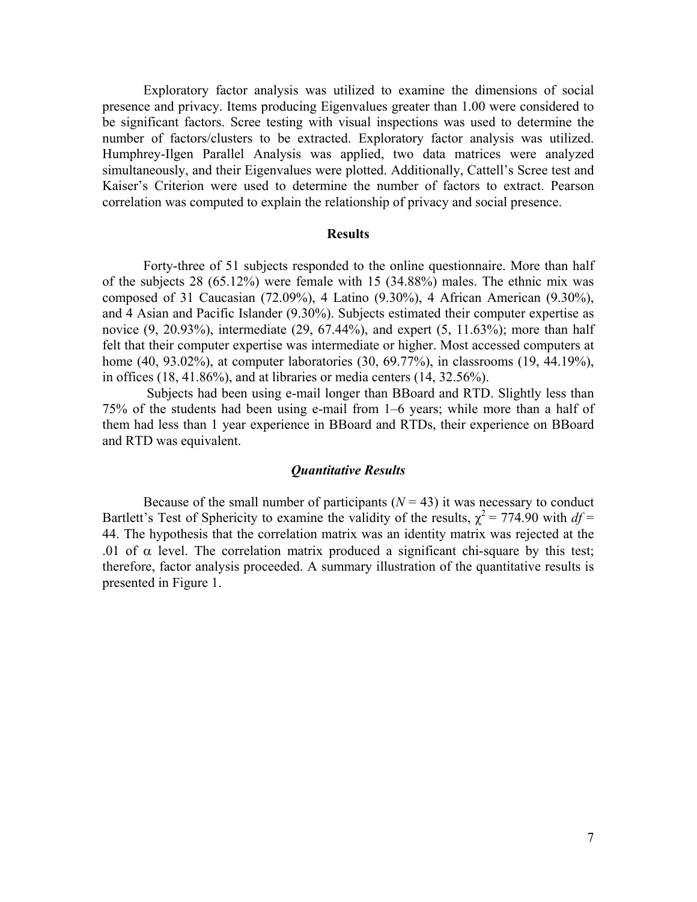Exploratory factor analysis was utilized to examine the dimensions of social presence and privacy. Items producing Eigenvalues greater than 1.00 were considered to be significant factors. Scree testing with visual inspections was used to determine the number of factors/clusters to be extracted. Exploratory factor analysis was utilized. Humphrey-Ilgen Parallel Analysis was applied, two data matrices were analyzed simultaneously, and their Eigenvalues were plotted. Additionally, Cattell's Scree test and Kaiser's Criterion were used to determine the number of factors to extract. Pearson correlation was computed to explain the relationship of privacy and social presence.

### **Results**

Forty-three of 51 subjects responded to the online questionnaire. More than half of the subjects 28 (65.12%) were female with 15 (34.88%) males. The ethnic mix was composed of 31 Caucasian (72.09%), 4 Latino (9.30%), 4 African American (9.30%), and 4 Asian and Pacific Islander (9.30%). Subjects estimated their computer expertise as novice (9, 20.93%), intermediate (29, 67.44%), and expert (5, 11.63%); more than half felt that their computer expertise was intermediate or higher. Most accessed computers at home (40, 93.02%), at computer laboratories (30, 69.77%), in classrooms (19, 44.19%), in offices  $(18, 41.86\%)$ , and at libraries or media centers  $(14, 32.56\%)$ .

Subjects had been using e-mail longer than BBoard and RTD. Slightly less than 75% of the students had been using e-mail from 1–6 years; while more than a half of them had less than 1 year experience in BBoard and RTDs, their experience on BBoard and RTD was equivalent.

#### *Quantitative Results*

Because of the small number of participants  $(N = 43)$  it was necessary to conduct Bartlett's Test of Sphericity to examine the validity of the results,  $\chi^2 = 774.90$  with  $df =$ 44. The hypothesis that the correlation matrix was an identity matrix was rejected at the .01 of  $\alpha$  level. The correlation matrix produced a significant chi-square by this test; therefore, factor analysis proceeded. A summary illustration of the quantitative results is presented in Figure 1.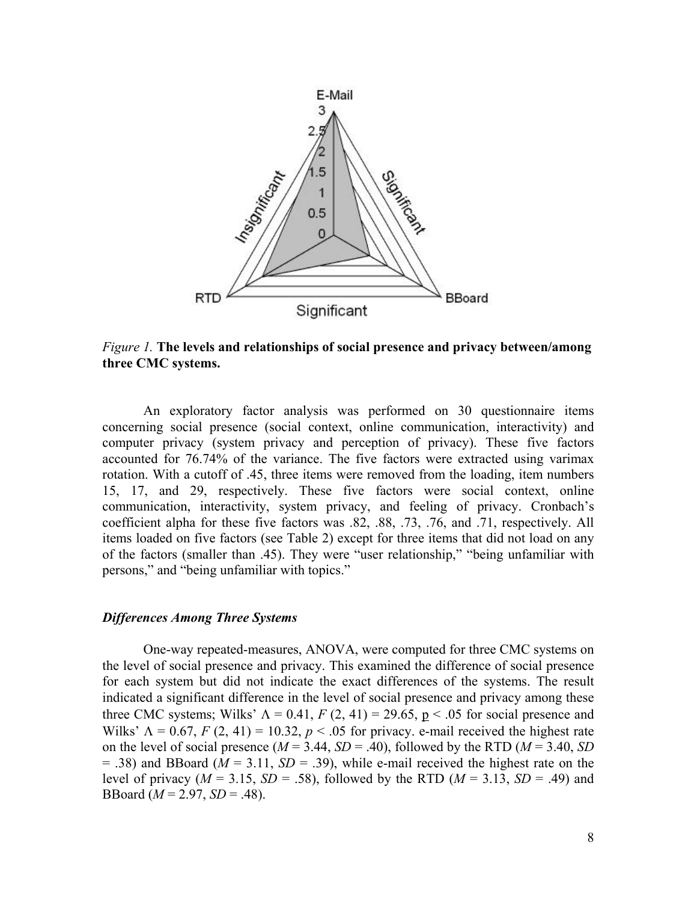

*Figure 1.* **The levels and relationships of social presence and privacy between/among three CMC systems.**

An exploratory factor analysis was performed on 30 questionnaire items concerning social presence (social context, online communication, interactivity) and computer privacy (system privacy and perception of privacy). These five factors accounted for 76.74% of the variance. The five factors were extracted using varimax rotation. With a cutoff of .45, three items were removed from the loading, item numbers 15, 17, and 29, respectively. These five factors were social context, online communication, interactivity, system privacy, and feeling of privacy. Cronbach's coefficient alpha for these five factors was .82, .88, .73, .76, and .71, respectively. All items loaded on five factors (see Table 2) except for three items that did not load on any of the factors (smaller than .45). They were "user relationship," "being unfamiliar with persons," and "being unfamiliar with topics."

## *Differences Among Three Systems*

One-way repeated-measures, ANOVA, were computed for three CMC systems on the level of social presence and privacy. This examined the difference of social presence for each system but did not indicate the exact differences of the systems. The result indicated a significant difference in the level of social presence and privacy among these three CMC systems; Wilks'  $\Lambda = 0.41$ ,  $F(2, 41) = 29.65$ ,  $p < .05$  for social presence and Wilks'  $\Lambda = 0.67$ ,  $F(2, 41) = 10.32$ ,  $p < .05$  for privacy. e-mail received the highest rate on the level of social presence  $(M = 3.44, SD = .40)$ , followed by the RTD  $(M = 3.40, SD)$  $= .38$ ) and BBoard ( $M = 3.11$ ,  $SD = .39$ ), while e-mail received the highest rate on the level of privacy ( $M = 3.15$ ,  $SD = .58$ ), followed by the RTD ( $M = 3.13$ ,  $SD = .49$ ) and BBoard (*M* = 2.97, *SD* = .48).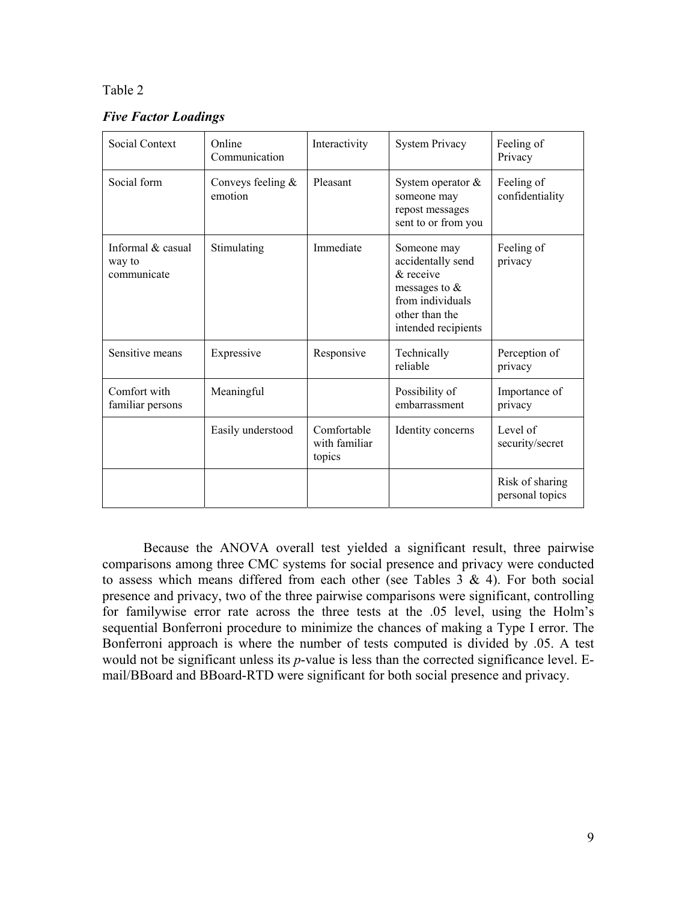*Five Factor Loadings*

| <b>Social Context</b>                      | Online<br>Communication        | Interactivity                          | <b>System Privacy</b>                                                                                                             | Feeling of<br>Privacy              |
|--------------------------------------------|--------------------------------|----------------------------------------|-----------------------------------------------------------------------------------------------------------------------------------|------------------------------------|
| Social form                                | Conveys feeling $&$<br>emotion | Pleasant                               | System operator $\&$<br>someone may<br>repost messages<br>sent to or from you                                                     | Feeling of<br>confidentiality      |
| Informal & casual<br>way to<br>communicate | Stimulating                    | Immediate                              | Someone may<br>accidentally send<br>$\&$ receive<br>messages to $\&$<br>from individuals<br>other than the<br>intended recipients | Feeling of<br>privacy              |
| Sensitive means                            | Expressive                     | Responsive                             | Technically<br>reliable                                                                                                           | Perception of<br>privacy           |
| Comfort with<br>familiar persons           | Meaningful                     |                                        | Possibility of<br>embarrassment                                                                                                   | Importance of<br>privacy           |
|                                            | Easily understood              | Comfortable<br>with familiar<br>topics | Identity concerns                                                                                                                 | Level of<br>security/secret        |
|                                            |                                |                                        |                                                                                                                                   | Risk of sharing<br>personal topics |

Because the ANOVA overall test yielded a significant result, three pairwise comparisons among three CMC systems for social presence and privacy were conducted to assess which means differed from each other (see Tables  $3 \& 4$ ). For both social presence and privacy, two of the three pairwise comparisons were significant, controlling for familywise error rate across the three tests at the .05 level, using the Holm's sequential Bonferroni procedure to minimize the chances of making a Type I error. The Bonferroni approach is where the number of tests computed is divided by .05. A test would not be significant unless its *p*-value is less than the corrected significance level. Email/BBoard and BBoard-RTD were significant for both social presence and privacy.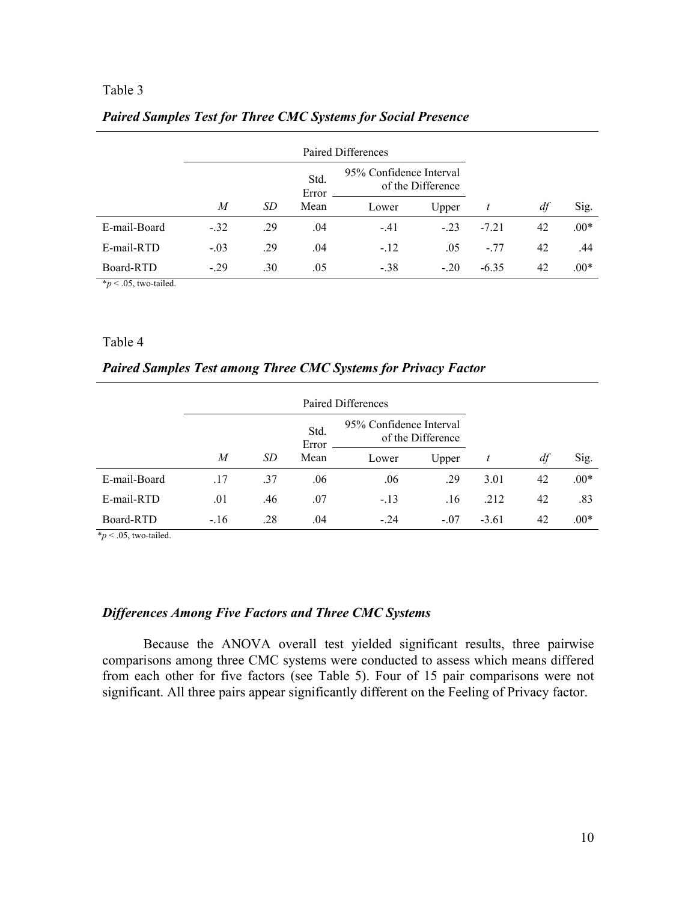|              |        |     | Std.<br>Error | 95% Confidence Interval<br>of the Difference |        |         |    |        |
|--------------|--------|-----|---------------|----------------------------------------------|--------|---------|----|--------|
|              | M      | SD  | Mean          | Lower                                        | Upper  |         | df | Sig.   |
| E-mail-Board | $-32$  | .29 | .04           | $-.41$                                       | $-23$  | $-7.21$ | 42 | $.00*$ |
| E-mail-RTD   | $-.03$ | .29 | .04           | $-.12$                                       | .05    | $-77$   | 42 | .44    |
| Board-RTD    | $-.29$ | .30 | .05           | $-.38$                                       | $-.20$ | $-6.35$ | 42 | $.00*$ |

### *Paired Samples Test for Three CMC Systems for Social Presence*

 $**p* < .05$ , two-tailed.

## Table 4

## *Paired Samples Test among Three CMC Systems for Privacy Factor*

|              |        |     | 95% Confidence Interval<br>Std.<br>of the Difference<br>Error |        |        |         |    |        |
|--------------|--------|-----|---------------------------------------------------------------|--------|--------|---------|----|--------|
|              | M      | SD  | Mean                                                          | Lower  | Upper  |         | df | Sig.   |
| E-mail-Board | .17    | .37 | .06                                                           | .06    | .29    | 3.01    | 42 | $.00*$ |
| E-mail-RTD   | .01    | .46 | .07                                                           | $-.13$ | .16    | .212    | 42 | .83    |
| Board-RTD    | $-.16$ | .28 | .04                                                           | $-.24$ | $-.07$ | $-3.61$ | 42 | $.00*$ |

 $*_p$  < .05, two-tailed.

## *Differences Among Five Factors and Three CMC Systems*

Because the ANOVA overall test yielded significant results, three pairwise comparisons among three CMC systems were conducted to assess which means differed from each other for five factors (see Table 5). Four of 15 pair comparisons were not significant. All three pairs appear significantly different on the Feeling of Privacy factor.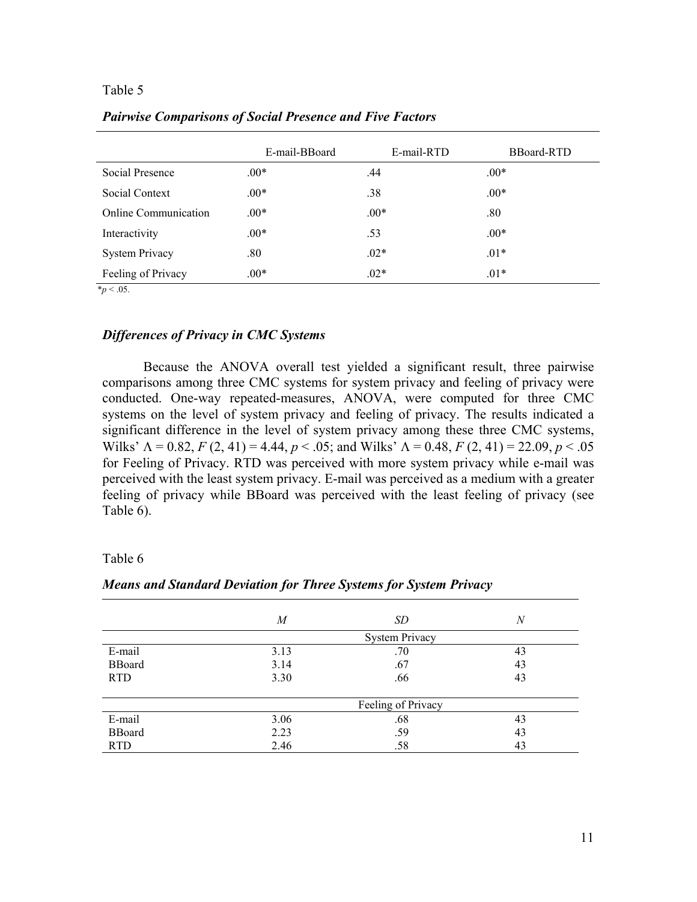|                             | E-mail-BBoard | E-mail-RTD | <b>BBoard-RTD</b> |
|-----------------------------|---------------|------------|-------------------|
| Social Presence             | $.00*$        | .44        | $.00*$            |
| Social Context              | $.00*$        | .38        | $.00*$            |
| <b>Online Communication</b> | $.00*$        | $.00*$     | .80               |
| Interactivity               | $.00*$        | .53        | $.00*$            |
| <b>System Privacy</b>       | $.80\,$       | $.02*$     | $.01*$            |
| Feeling of Privacy          | $.00*$        | $.02*$     | $.01*$            |

*Pairwise Comparisons of Social Presence and Five Factors* 

 $*_{p}$  < .05.

## *Differences of Privacy in CMC Systems*

Because the ANOVA overall test yielded a significant result, three pairwise comparisons among three CMC systems for system privacy and feeling of privacy were conducted. One-way repeated-measures, ANOVA, were computed for three CMC systems on the level of system privacy and feeling of privacy. The results indicated a significant difference in the level of system privacy among these three CMC systems, Wilks'  $\Lambda = 0.82$ ,  $F(2, 41) = 4.44$ ,  $p < .05$ ; and Wilks'  $\Lambda = 0.48$ ,  $F(2, 41) = 22.09$ ,  $p < .05$ for Feeling of Privacy. RTD was perceived with more system privacy while e-mail was perceived with the least system privacy. E-mail was perceived as a medium with a greater feeling of privacy while BBoard was perceived with the least feeling of privacy (see Table 6).

### Table 6

| $\boldsymbol{M}$ | SD                    | N  |  |
|------------------|-----------------------|----|--|
|                  | <b>System Privacy</b> |    |  |
| 3.13             | .70                   | 43 |  |
| 3.14             | .67                   | 43 |  |
| 3.30             | .66                   | 43 |  |
|                  |                       |    |  |
|                  | Feeling of Privacy    |    |  |
| 3.06             | .68                   | 43 |  |
| 2.23             | .59                   | 43 |  |
| 2.46             | .58                   | 43 |  |
|                  |                       |    |  |

# *Means and Standard Deviation for Three Systems for System Privacy*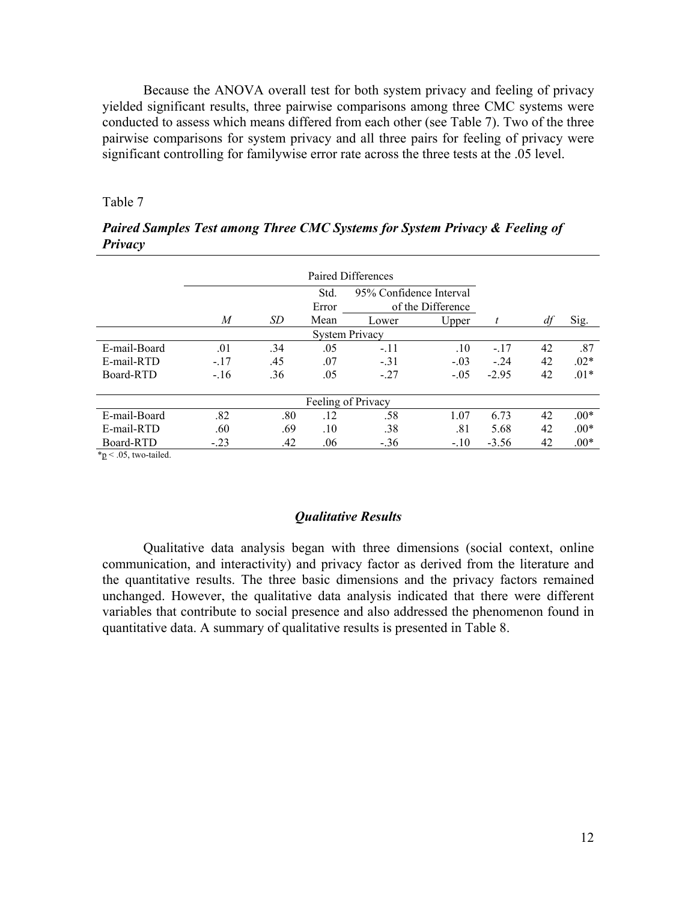Because the ANOVA overall test for both system privacy and feeling of privacy yielded significant results, three pairwise comparisons among three CMC systems were conducted to assess which means differed from each other (see Table 7). Two of the three pairwise comparisons for system privacy and all three pairs for feeling of privacy were significant controlling for familywise error rate across the three tests at the .05 level.

Table 7

|              | Paired Differences              |           |       |                       |                   |         |    |        |
|--------------|---------------------------------|-----------|-------|-----------------------|-------------------|---------|----|--------|
|              | 95% Confidence Interval<br>Std. |           |       |                       |                   |         |    |        |
|              |                                 |           | Error |                       | of the Difference |         |    |        |
|              | M                               | <i>SD</i> | Mean  | Lower                 | Upper             |         | df | Sig.   |
|              |                                 |           |       | <b>System Privacy</b> |                   |         |    |        |
| E-mail-Board | .01                             | .34       | .05   | $-.11$                | .10               | $-.17$  | 42 | .87    |
| E-mail-RTD   | $-.17$                          | .45       | .07   | $-.31$                | $-.03$            | $-24$   | 42 | $.02*$ |
| Board-RTD    | $-.16$                          | .36       | .05   | $-.27$                | $-.05$            | $-2.95$ | 42 | $.01*$ |
|              |                                 |           |       |                       |                   |         |    |        |
|              |                                 |           |       | Feeling of Privacy    |                   |         |    |        |
| E-mail-Board | .82                             | .80       | .12   | .58                   | 1.07              | 6.73    | 42 | $.00*$ |
| E-mail-RTD   | .60                             | .69       | .10   | .38                   | .81               | 5.68    | 42 | $.00*$ |
| Board-RTD    | $-.23$                          | .42       | .06   | $-.36$                | $-.10$            | $-3.56$ | 42 | $.00*$ |

*Paired Samples Test among Three CMC Systems for System Privacy & Feeling of Privacy* 

 $*<sub>p</sub> < .05$ , two-tailed.

#### *Qualitative Results*

Qualitative data analysis began with three dimensions (social context, online communication, and interactivity) and privacy factor as derived from the literature and the quantitative results. The three basic dimensions and the privacy factors remained unchanged. However, the qualitative data analysis indicated that there were different variables that contribute to social presence and also addressed the phenomenon found in quantitative data. A summary of qualitative results is presented in Table 8.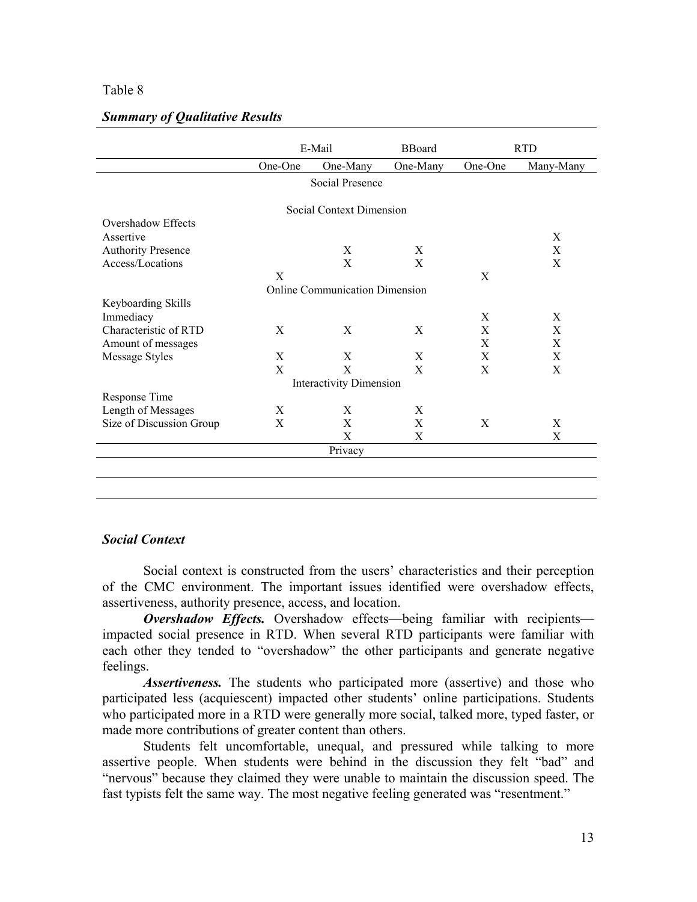|                           |         | E-Mail                                |          |         | <b>RTD</b> |  |  |  |
|---------------------------|---------|---------------------------------------|----------|---------|------------|--|--|--|
|                           | One-One | One-Many                              | One-Many | One-One | Many-Many  |  |  |  |
|                           |         | Social Presence                       |          |         |            |  |  |  |
| Social Context Dimension  |         |                                       |          |         |            |  |  |  |
| Overshadow Effects        |         |                                       |          |         |            |  |  |  |
| Assertive                 |         |                                       |          |         | X          |  |  |  |
| <b>Authority Presence</b> |         | X                                     | X        |         | X          |  |  |  |
| Access/Locations          |         | X                                     | X        |         | X          |  |  |  |
|                           | X       |                                       |          | X       |            |  |  |  |
|                           |         | <b>Online Communication Dimension</b> |          |         |            |  |  |  |
| Keyboarding Skills        |         |                                       |          |         |            |  |  |  |
| Immediacy                 |         |                                       |          | X       | X          |  |  |  |
| Characteristic of RTD     | X       | X                                     | X        | X       | X          |  |  |  |
| Amount of messages        |         |                                       |          | X       | X          |  |  |  |
| Message Styles            | X       | X                                     | X        | X       | X          |  |  |  |
|                           | X       | X                                     | X        | X       | X          |  |  |  |
|                           |         | <b>Interactivity Dimension</b>        |          |         |            |  |  |  |
| Response Time             |         |                                       |          |         |            |  |  |  |
| Length of Messages        | X       | X                                     | X        |         |            |  |  |  |
| Size of Discussion Group  | X       | X                                     | X        | X       | X          |  |  |  |
|                           |         | X                                     | X        |         | X          |  |  |  |
|                           |         | Privacy                               |          |         |            |  |  |  |
|                           |         |                                       |          |         |            |  |  |  |
|                           |         |                                       |          |         |            |  |  |  |

## *Summary of Qualitative Results*

# *Social Context*

Social context is constructed from the users' characteristics and their perception of the CMC environment. The important issues identified were overshadow effects, assertiveness, authority presence, access, and location.

*Overshadow Effects.* Overshadow effects—being familiar with recipients impacted social presence in RTD. When several RTD participants were familiar with each other they tended to "overshadow" the other participants and generate negative feelings.

*Assertiveness.* The students who participated more (assertive) and those who participated less (acquiescent) impacted other students' online participations. Students who participated more in a RTD were generally more social, talked more, typed faster, or made more contributions of greater content than others.

Students felt uncomfortable, unequal, and pressured while talking to more assertive people. When students were behind in the discussion they felt "bad" and "nervous" because they claimed they were unable to maintain the discussion speed. The fast typists felt the same way. The most negative feeling generated was "resentment."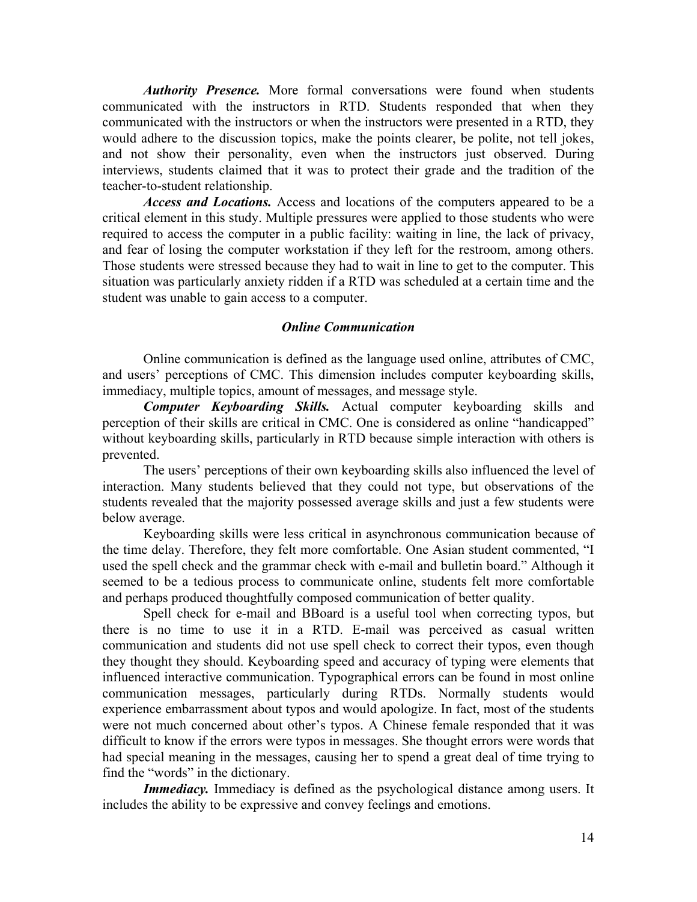*Authority Presence.* More formal conversations were found when students communicated with the instructors in RTD. Students responded that when they communicated with the instructors or when the instructors were presented in a RTD, they would adhere to the discussion topics, make the points clearer, be polite, not tell jokes, and not show their personality, even when the instructors just observed. During interviews, students claimed that it was to protect their grade and the tradition of the teacher-to-student relationship.

*Access and Locations.* Access and locations of the computers appeared to be a critical element in this study. Multiple pressures were applied to those students who were required to access the computer in a public facility: waiting in line, the lack of privacy, and fear of losing the computer workstation if they left for the restroom, among others. Those students were stressed because they had to wait in line to get to the computer. This situation was particularly anxiety ridden if a RTD was scheduled at a certain time and the student was unable to gain access to a computer.

# *Online Communication*

Online communication is defined as the language used online, attributes of CMC, and users' perceptions of CMC. This dimension includes computer keyboarding skills, immediacy, multiple topics, amount of messages, and message style.

*Computer Keyboarding Skills.* Actual computer keyboarding skills and perception of their skills are critical in CMC. One is considered as online "handicapped" without keyboarding skills, particularly in RTD because simple interaction with others is prevented.

The users' perceptions of their own keyboarding skills also influenced the level of interaction. Many students believed that they could not type, but observations of the students revealed that the majority possessed average skills and just a few students were below average.

Keyboarding skills were less critical in asynchronous communication because of the time delay. Therefore, they felt more comfortable. One Asian student commented, "I used the spell check and the grammar check with e-mail and bulletin board." Although it seemed to be a tedious process to communicate online, students felt more comfortable and perhaps produced thoughtfully composed communication of better quality.

Spell check for e-mail and BBoard is a useful tool when correcting typos, but there is no time to use it in a RTD. E-mail was perceived as casual written communication and students did not use spell check to correct their typos, even though they thought they should. Keyboarding speed and accuracy of typing were elements that influenced interactive communication. Typographical errors can be found in most online communication messages, particularly during RTDs. Normally students would experience embarrassment about typos and would apologize. In fact, most of the students were not much concerned about other's typos. A Chinese female responded that it was difficult to know if the errors were typos in messages. She thought errors were words that had special meaning in the messages, causing her to spend a great deal of time trying to find the "words" in the dictionary.

Immediacy. Immediacy is defined as the psychological distance among users. It includes the ability to be expressive and convey feelings and emotions.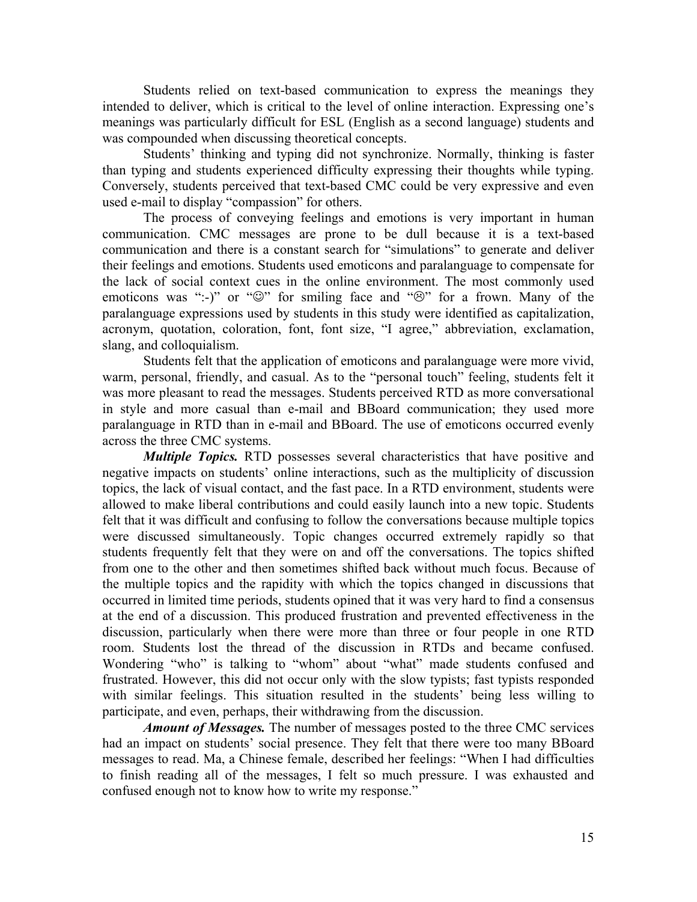Students relied on text-based communication to express the meanings they intended to deliver, which is critical to the level of online interaction. Expressing one's meanings was particularly difficult for ESL (English as a second language) students and was compounded when discussing theoretical concepts.

Students' thinking and typing did not synchronize. Normally, thinking is faster than typing and students experienced difficulty expressing their thoughts while typing. Conversely, students perceived that text-based CMC could be very expressive and even used e-mail to display "compassion" for others.

The process of conveying feelings and emotions is very important in human communication. CMC messages are prone to be dull because it is a text-based communication and there is a constant search for "simulations" to generate and deliver their feelings and emotions. Students used emoticons and paralanguage to compensate for the lack of social context cues in the online environment. The most commonly used emoticons was ":-)" or " $\mathbb{Q}$ " for smiling face and " $\mathbb{Q}$ " for a frown. Many of the paralanguage expressions used by students in this study were identified as capitalization, acronym, quotation, coloration, font, font size, "I agree," abbreviation, exclamation, slang, and colloquialism.

Students felt that the application of emoticons and paralanguage were more vivid, warm, personal, friendly, and casual. As to the "personal touch" feeling, students felt it was more pleasant to read the messages. Students perceived RTD as more conversational in style and more casual than e-mail and BBoard communication; they used more paralanguage in RTD than in e-mail and BBoard. The use of emoticons occurred evenly across the three CMC systems.

*Multiple Topics.* RTD possesses several characteristics that have positive and negative impacts on students' online interactions, such as the multiplicity of discussion topics, the lack of visual contact, and the fast pace. In a RTD environment, students were allowed to make liberal contributions and could easily launch into a new topic. Students felt that it was difficult and confusing to follow the conversations because multiple topics were discussed simultaneously. Topic changes occurred extremely rapidly so that students frequently felt that they were on and off the conversations. The topics shifted from one to the other and then sometimes shifted back without much focus. Because of the multiple topics and the rapidity with which the topics changed in discussions that occurred in limited time periods, students opined that it was very hard to find a consensus at the end of a discussion. This produced frustration and prevented effectiveness in the discussion, particularly when there were more than three or four people in one RTD room. Students lost the thread of the discussion in RTDs and became confused. Wondering "who" is talking to "whom" about "what" made students confused and frustrated. However, this did not occur only with the slow typists; fast typists responded with similar feelings. This situation resulted in the students' being less willing to participate, and even, perhaps, their withdrawing from the discussion.

*Amount of Messages.* The number of messages posted to the three CMC services had an impact on students' social presence. They felt that there were too many BBoard messages to read. Ma, a Chinese female, described her feelings: "When I had difficulties to finish reading all of the messages, I felt so much pressure. I was exhausted and confused enough not to know how to write my response."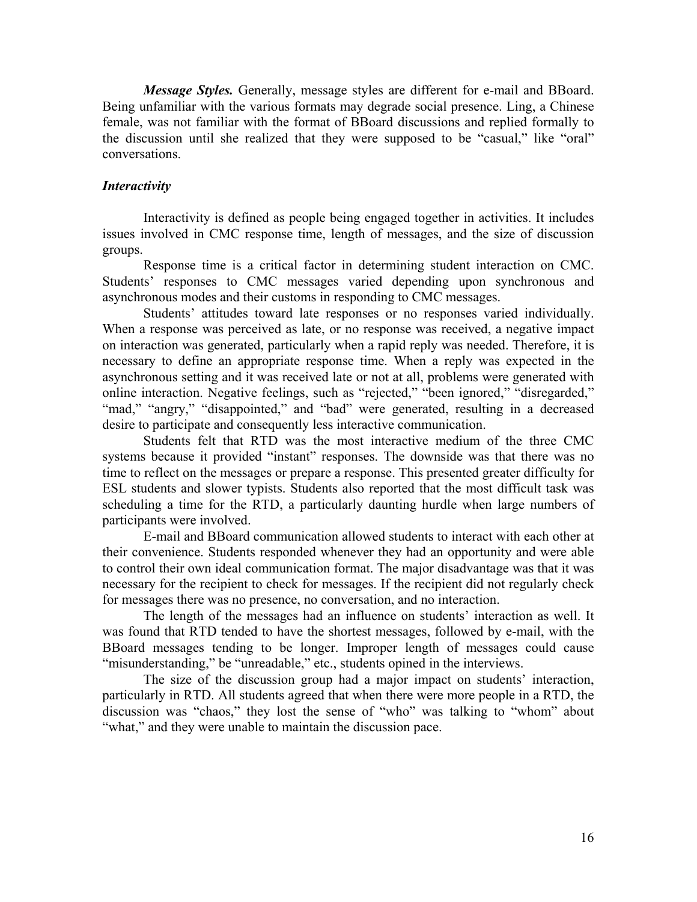*Message Styles.* Generally, message styles are different for e-mail and BBoard. Being unfamiliar with the various formats may degrade social presence. Ling, a Chinese female, was not familiar with the format of BBoard discussions and replied formally to the discussion until she realized that they were supposed to be "casual," like "oral" conversations.

#### *Interactivity*

Interactivity is defined as people being engaged together in activities. It includes issues involved in CMC response time, length of messages, and the size of discussion groups.

Response time is a critical factor in determining student interaction on CMC. Students' responses to CMC messages varied depending upon synchronous and asynchronous modes and their customs in responding to CMC messages.

Students' attitudes toward late responses or no responses varied individually. When a response was perceived as late, or no response was received, a negative impact on interaction was generated, particularly when a rapid reply was needed. Therefore, it is necessary to define an appropriate response time. When a reply was expected in the asynchronous setting and it was received late or not at all, problems were generated with online interaction. Negative feelings, such as "rejected," "been ignored," "disregarded," "mad," "angry," "disappointed," and "bad" were generated, resulting in a decreased desire to participate and consequently less interactive communication.

Students felt that RTD was the most interactive medium of the three CMC systems because it provided "instant" responses. The downside was that there was no time to reflect on the messages or prepare a response. This presented greater difficulty for ESL students and slower typists. Students also reported that the most difficult task was scheduling a time for the RTD, a particularly daunting hurdle when large numbers of participants were involved.

E-mail and BBoard communication allowed students to interact with each other at their convenience. Students responded whenever they had an opportunity and were able to control their own ideal communication format. The major disadvantage was that it was necessary for the recipient to check for messages. If the recipient did not regularly check for messages there was no presence, no conversation, and no interaction.

The length of the messages had an influence on students' interaction as well. It was found that RTD tended to have the shortest messages, followed by e-mail, with the BBoard messages tending to be longer. Improper length of messages could cause "misunderstanding," be "unreadable," etc., students opined in the interviews.

The size of the discussion group had a major impact on students' interaction, particularly in RTD. All students agreed that when there were more people in a RTD, the discussion was "chaos," they lost the sense of "who" was talking to "whom" about "what," and they were unable to maintain the discussion pace.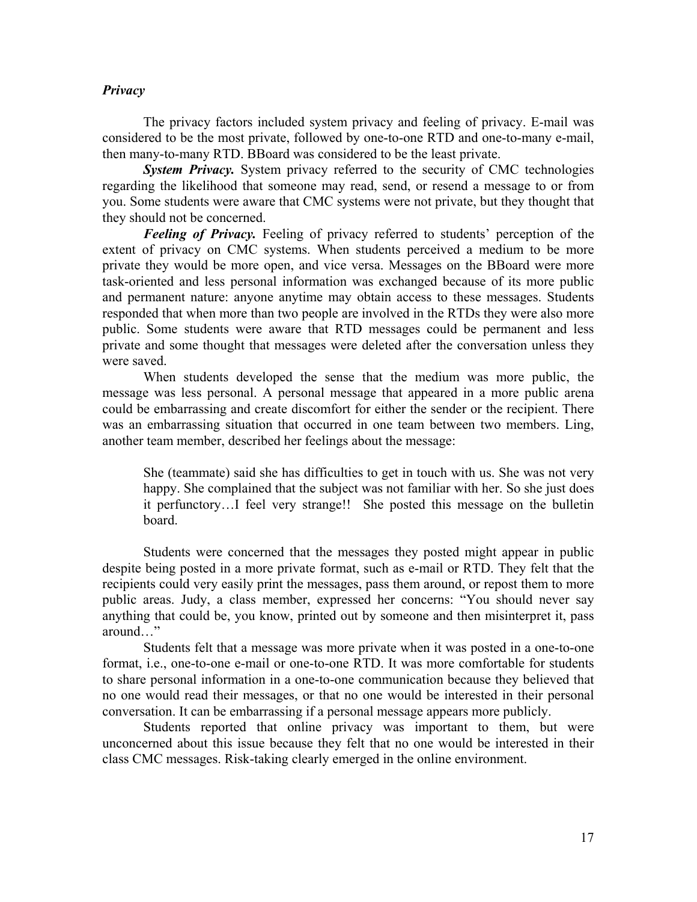## *Privacy*

The privacy factors included system privacy and feeling of privacy. E-mail was considered to be the most private, followed by one-to-one RTD and one-to-many e-mail, then many-to-many RTD. BBoard was considered to be the least private.

*System Privacy.* System privacy referred to the security of CMC technologies regarding the likelihood that someone may read, send, or resend a message to or from you. Some students were aware that CMC systems were not private, but they thought that they should not be concerned.

*Feeling of Privacy.* Feeling of privacy referred to students' perception of the extent of privacy on CMC systems. When students perceived a medium to be more private they would be more open, and vice versa. Messages on the BBoard were more task-oriented and less personal information was exchanged because of its more public and permanent nature: anyone anytime may obtain access to these messages. Students responded that when more than two people are involved in the RTDs they were also more public. Some students were aware that RTD messages could be permanent and less private and some thought that messages were deleted after the conversation unless they were saved.

When students developed the sense that the medium was more public, the message was less personal. A personal message that appeared in a more public arena could be embarrassing and create discomfort for either the sender or the recipient. There was an embarrassing situation that occurred in one team between two members. Ling, another team member, described her feelings about the message:

She (teammate) said she has difficulties to get in touch with us. She was not very happy. She complained that the subject was not familiar with her. So she just does it perfunctory…I feel very strange!! She posted this message on the bulletin board.

Students were concerned that the messages they posted might appear in public despite being posted in a more private format, such as e-mail or RTD. They felt that the recipients could very easily print the messages, pass them around, or repost them to more public areas. Judy, a class member, expressed her concerns: "You should never say anything that could be, you know, printed out by someone and then misinterpret it, pass around…"

Students felt that a message was more private when it was posted in a one-to-one format, i.e., one-to-one e-mail or one-to-one RTD. It was more comfortable for students to share personal information in a one-to-one communication because they believed that no one would read their messages, or that no one would be interested in their personal conversation. It can be embarrassing if a personal message appears more publicly.

Students reported that online privacy was important to them, but were unconcerned about this issue because they felt that no one would be interested in their class CMC messages. Risk-taking clearly emerged in the online environment.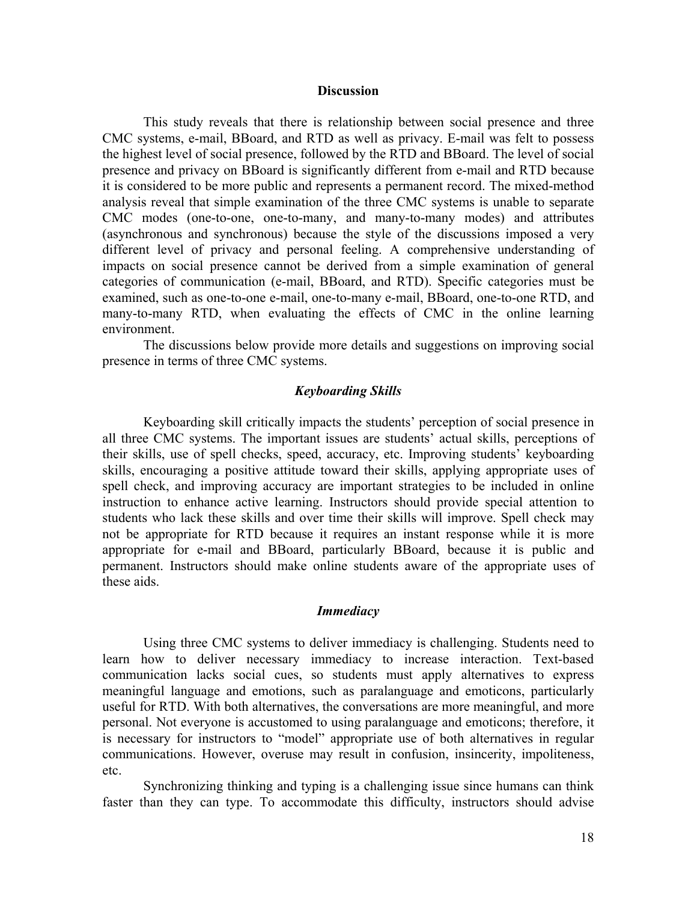#### **Discussion**

This study reveals that there is relationship between social presence and three CMC systems, e-mail, BBoard, and RTD as well as privacy. E-mail was felt to possess the highest level of social presence, followed by the RTD and BBoard. The level of social presence and privacy on BBoard is significantly different from e-mail and RTD because it is considered to be more public and represents a permanent record. The mixed-method analysis reveal that simple examination of the three CMC systems is unable to separate CMC modes (one-to-one, one-to-many, and many-to-many modes) and attributes (asynchronous and synchronous) because the style of the discussions imposed a very different level of privacy and personal feeling. A comprehensive understanding of impacts on social presence cannot be derived from a simple examination of general categories of communication (e-mail, BBoard, and RTD). Specific categories must be examined, such as one-to-one e-mail, one-to-many e-mail, BBoard, one-to-one RTD, and many-to-many RTD, when evaluating the effects of CMC in the online learning environment.

The discussions below provide more details and suggestions on improving social presence in terms of three CMC systems.

## *Keyboarding Skills*

Keyboarding skill critically impacts the students' perception of social presence in all three CMC systems. The important issues are students' actual skills, perceptions of their skills, use of spell checks, speed, accuracy, etc. Improving students' keyboarding skills, encouraging a positive attitude toward their skills, applying appropriate uses of spell check, and improving accuracy are important strategies to be included in online instruction to enhance active learning. Instructors should provide special attention to students who lack these skills and over time their skills will improve. Spell check may not be appropriate for RTD because it requires an instant response while it is more appropriate for e-mail and BBoard, particularly BBoard, because it is public and permanent. Instructors should make online students aware of the appropriate uses of these aids.

## *Immediacy*

Using three CMC systems to deliver immediacy is challenging. Students need to learn how to deliver necessary immediacy to increase interaction. Text-based communication lacks social cues, so students must apply alternatives to express meaningful language and emotions, such as paralanguage and emoticons, particularly useful for RTD. With both alternatives, the conversations are more meaningful, and more personal. Not everyone is accustomed to using paralanguage and emoticons; therefore, it is necessary for instructors to "model" appropriate use of both alternatives in regular communications. However, overuse may result in confusion, insincerity, impoliteness, etc.

Synchronizing thinking and typing is a challenging issue since humans can think faster than they can type. To accommodate this difficulty, instructors should advise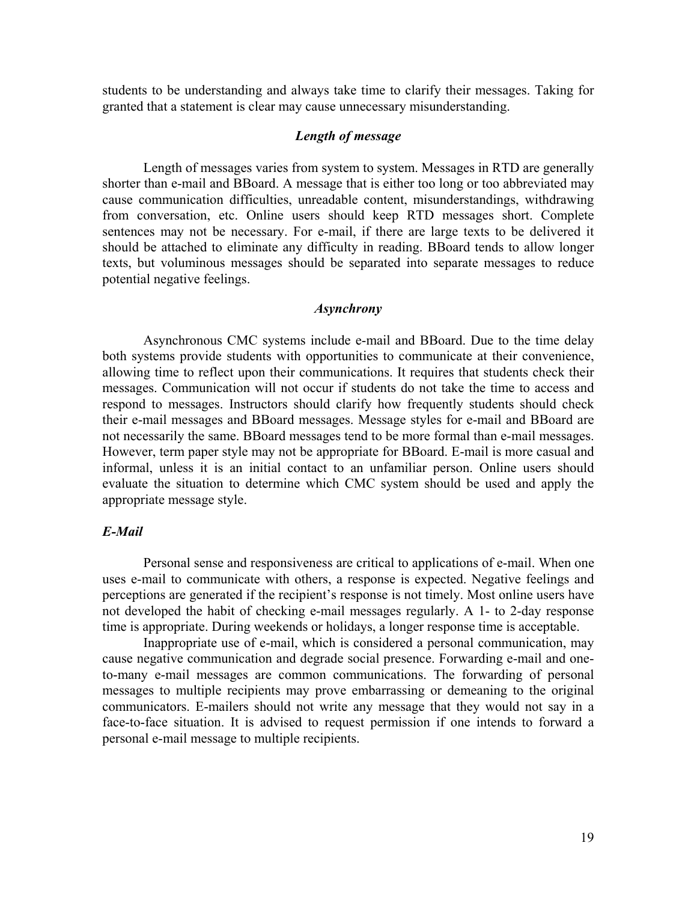students to be understanding and always take time to clarify their messages. Taking for granted that a statement is clear may cause unnecessary misunderstanding.

## *Length of message*

Length of messages varies from system to system. Messages in RTD are generally shorter than e-mail and BBoard. A message that is either too long or too abbreviated may cause communication difficulties, unreadable content, misunderstandings, withdrawing from conversation, etc. Online users should keep RTD messages short. Complete sentences may not be necessary. For e-mail, if there are large texts to be delivered it should be attached to eliminate any difficulty in reading. BBoard tends to allow longer texts, but voluminous messages should be separated into separate messages to reduce potential negative feelings.

## *Asynchrony*

Asynchronous CMC systems include e-mail and BBoard. Due to the time delay both systems provide students with opportunities to communicate at their convenience, allowing time to reflect upon their communications. It requires that students check their messages. Communication will not occur if students do not take the time to access and respond to messages. Instructors should clarify how frequently students should check their e-mail messages and BBoard messages. Message styles for e-mail and BBoard are not necessarily the same. BBoard messages tend to be more formal than e-mail messages. However, term paper style may not be appropriate for BBoard. E-mail is more casual and informal, unless it is an initial contact to an unfamiliar person. Online users should evaluate the situation to determine which CMC system should be used and apply the appropriate message style.

## *E-Mail*

Personal sense and responsiveness are critical to applications of e-mail. When one uses e-mail to communicate with others, a response is expected. Negative feelings and perceptions are generated if the recipient's response is not timely. Most online users have not developed the habit of checking e-mail messages regularly. A 1- to 2-day response time is appropriate. During weekends or holidays, a longer response time is acceptable.

Inappropriate use of e-mail, which is considered a personal communication, may cause negative communication and degrade social presence. Forwarding e-mail and oneto-many e-mail messages are common communications. The forwarding of personal messages to multiple recipients may prove embarrassing or demeaning to the original communicators. E-mailers should not write any message that they would not say in a face-to-face situation. It is advised to request permission if one intends to forward a personal e-mail message to multiple recipients.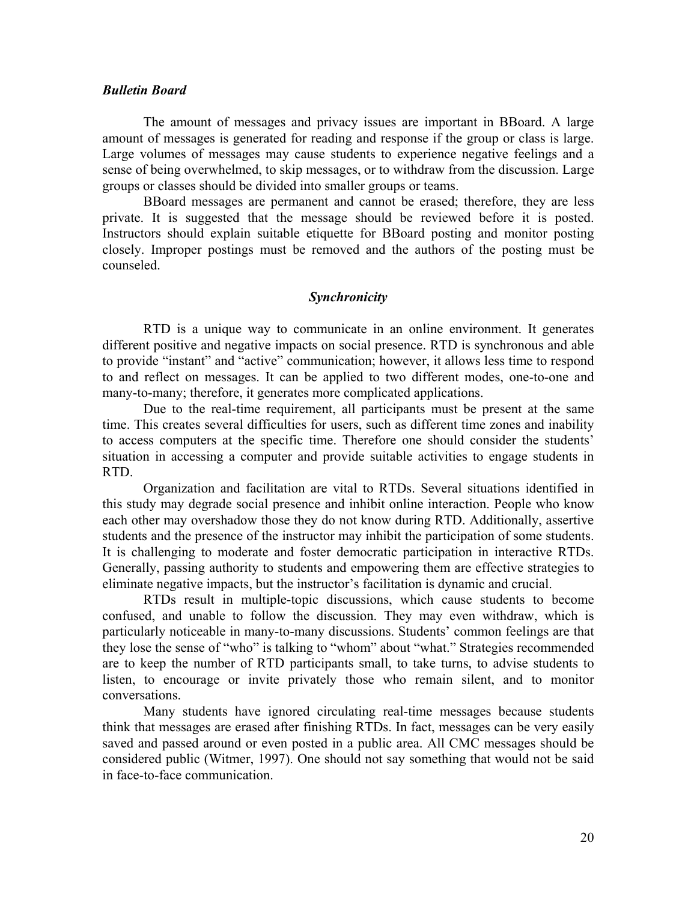## *Bulletin Board*

The amount of messages and privacy issues are important in BBoard. A large amount of messages is generated for reading and response if the group or class is large. Large volumes of messages may cause students to experience negative feelings and a sense of being overwhelmed, to skip messages, or to withdraw from the discussion. Large groups or classes should be divided into smaller groups or teams.

BBoard messages are permanent and cannot be erased; therefore, they are less private. It is suggested that the message should be reviewed before it is posted. Instructors should explain suitable etiquette for BBoard posting and monitor posting closely. Improper postings must be removed and the authors of the posting must be counseled.

### *Synchronicity*

RTD is a unique way to communicate in an online environment. It generates different positive and negative impacts on social presence. RTD is synchronous and able to provide "instant" and "active" communication; however, it allows less time to respond to and reflect on messages. It can be applied to two different modes, one-to-one and many-to-many; therefore, it generates more complicated applications.

Due to the real-time requirement, all participants must be present at the same time. This creates several difficulties for users, such as different time zones and inability to access computers at the specific time. Therefore one should consider the students' situation in accessing a computer and provide suitable activities to engage students in RTD.

Organization and facilitation are vital to RTDs. Several situations identified in this study may degrade social presence and inhibit online interaction. People who know each other may overshadow those they do not know during RTD. Additionally, assertive students and the presence of the instructor may inhibit the participation of some students. It is challenging to moderate and foster democratic participation in interactive RTDs. Generally, passing authority to students and empowering them are effective strategies to eliminate negative impacts, but the instructor's facilitation is dynamic and crucial.

RTDs result in multiple-topic discussions, which cause students to become confused, and unable to follow the discussion. They may even withdraw, which is particularly noticeable in many-to-many discussions. Students' common feelings are that they lose the sense of "who" is talking to "whom" about "what." Strategies recommended are to keep the number of RTD participants small, to take turns, to advise students to listen, to encourage or invite privately those who remain silent, and to monitor conversations.

Many students have ignored circulating real-time messages because students think that messages are erased after finishing RTDs. In fact, messages can be very easily saved and passed around or even posted in a public area. All CMC messages should be considered public (Witmer, 1997). One should not say something that would not be said in face-to-face communication.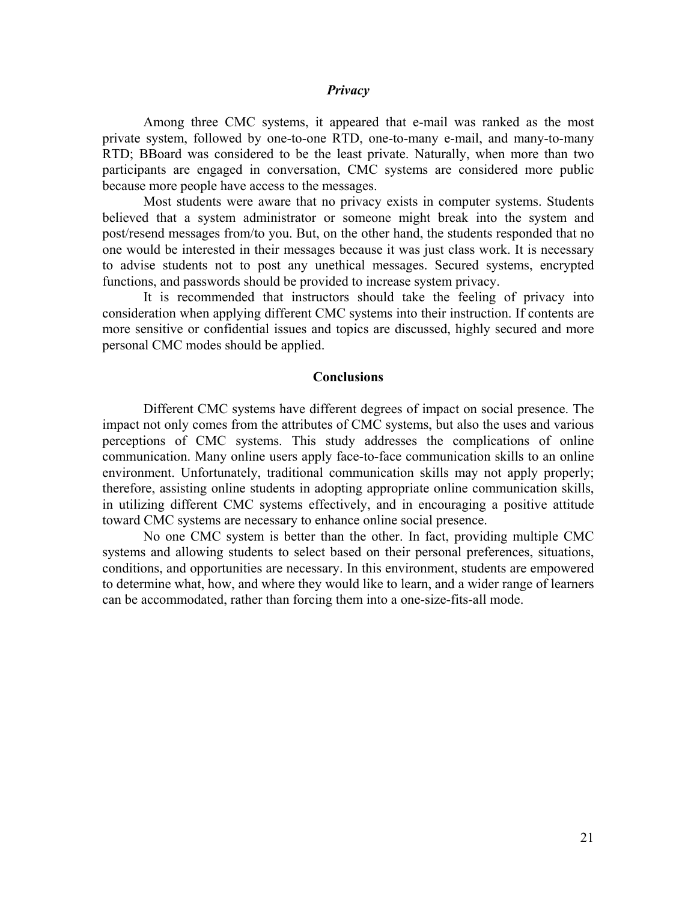## *Privacy*

Among three CMC systems, it appeared that e-mail was ranked as the most private system, followed by one-to-one RTD, one-to-many e-mail, and many-to-many RTD; BBoard was considered to be the least private. Naturally, when more than two participants are engaged in conversation, CMC systems are considered more public because more people have access to the messages.

Most students were aware that no privacy exists in computer systems. Students believed that a system administrator or someone might break into the system and post/resend messages from/to you. But, on the other hand, the students responded that no one would be interested in their messages because it was just class work. It is necessary to advise students not to post any unethical messages. Secured systems, encrypted functions, and passwords should be provided to increase system privacy.

It is recommended that instructors should take the feeling of privacy into consideration when applying different CMC systems into their instruction. If contents are more sensitive or confidential issues and topics are discussed, highly secured and more personal CMC modes should be applied.

#### **Conclusions**

Different CMC systems have different degrees of impact on social presence. The impact not only comes from the attributes of CMC systems, but also the uses and various perceptions of CMC systems. This study addresses the complications of online communication. Many online users apply face-to-face communication skills to an online environment. Unfortunately, traditional communication skills may not apply properly; therefore, assisting online students in adopting appropriate online communication skills, in utilizing different CMC systems effectively, and in encouraging a positive attitude toward CMC systems are necessary to enhance online social presence.

No one CMC system is better than the other. In fact, providing multiple CMC systems and allowing students to select based on their personal preferences, situations, conditions, and opportunities are necessary. In this environment, students are empowered to determine what, how, and where they would like to learn, and a wider range of learners can be accommodated, rather than forcing them into a one-size-fits-all mode.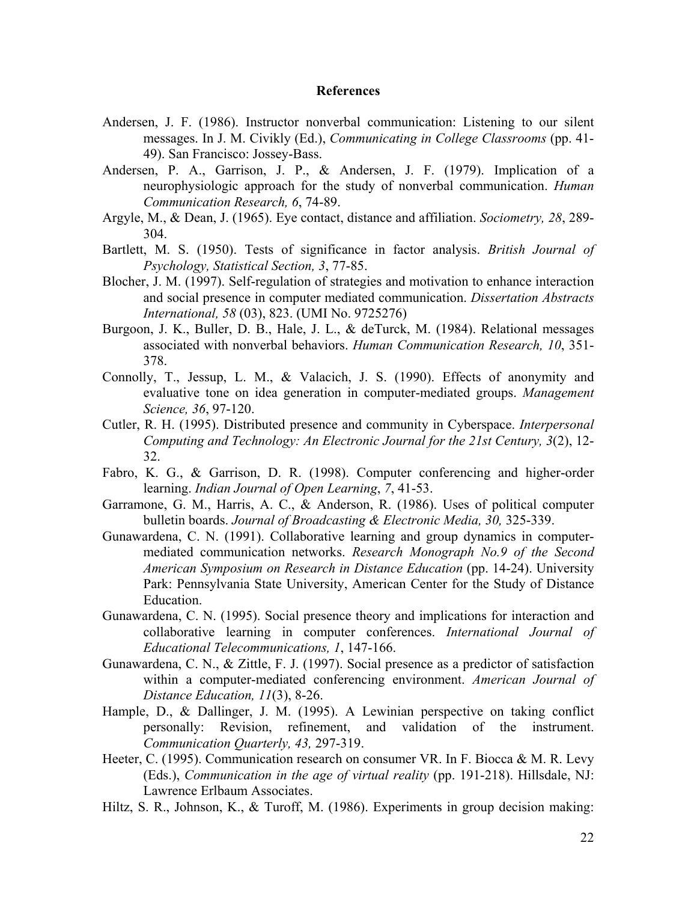## **References**

- Andersen, J. F. (1986). Instructor nonverbal communication: Listening to our silent messages. In J. M. Civikly (Ed.), *Communicating in College Classrooms* (pp. 41- 49). San Francisco: Jossey-Bass.
- Andersen, P. A., Garrison, J. P., & Andersen, J. F. (1979). Implication of a neurophysiologic approach for the study of nonverbal communication. *Human Communication Research, 6*, 74-89.
- Argyle, M., & Dean, J. (1965). Eye contact, distance and affiliation. *Sociometry, 28*, 289- 304.
- Bartlett, M. S. (1950). Tests of significance in factor analysis. *British Journal of Psychology, Statistical Section, 3*, 77-85.
- Blocher, J. M. (1997). Self-regulation of strategies and motivation to enhance interaction and social presence in computer mediated communication. *Dissertation Abstracts International, 58* (03), 823. (UMI No. 9725276)
- Burgoon, J. K., Buller, D. B., Hale, J. L., & deTurck, M. (1984). Relational messages associated with nonverbal behaviors. *Human Communication Research, 10*, 351- 378.
- Connolly, T., Jessup, L. M., & Valacich, J. S. (1990). Effects of anonymity and evaluative tone on idea generation in computer-mediated groups. *Management Science, 36*, 97-120.
- Cutler, R. H. (1995). Distributed presence and community in Cyberspace. *Interpersonal Computing and Technology: An Electronic Journal for the 21st Century, 3*(2), 12- 32.
- Fabro, K. G., & Garrison, D. R. (1998). Computer conferencing and higher-order learning. *Indian Journal of Open Learning*, *7*, 41-53.
- Garramone, G. M., Harris, A. C., & Anderson, R. (1986). Uses of political computer bulletin boards. *Journal of Broadcasting & Electronic Media, 30,* 325-339.
- Gunawardena, C. N. (1991). Collaborative learning and group dynamics in computermediated communication networks. *Research Monograph No.9 of the Second American Symposium on Research in Distance Education* (pp. 14-24). University Park: Pennsylvania State University, American Center for the Study of Distance Education.
- Gunawardena, C. N. (1995). Social presence theory and implications for interaction and collaborative learning in computer conferences. *International Journal of Educational Telecommunications, 1*, 147-166.
- Gunawardena, C. N., & Zittle, F. J. (1997). Social presence as a predictor of satisfaction within a computer-mediated conferencing environment. *American Journal of Distance Education, 11*(3), 8-26.
- Hample, D., & Dallinger, J. M. (1995). A Lewinian perspective on taking conflict personally: Revision, refinement, and validation of the instrument. *Communication Quarterly, 43,* 297-319.
- Heeter, C. (1995). Communication research on consumer VR. In F. Biocca & M. R. Levy (Eds.), *Communication in the age of virtual reality* (pp. 191-218). Hillsdale, NJ: Lawrence Erlbaum Associates.
- Hiltz, S. R., Johnson, K., & Turoff, M. (1986). Experiments in group decision making: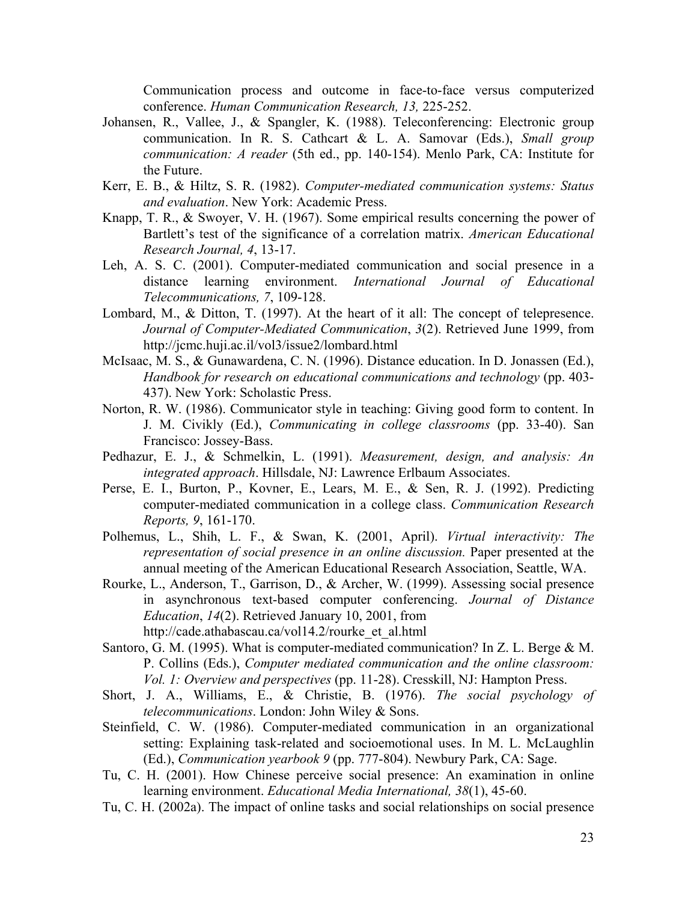Communication process and outcome in face-to-face versus computerized conference. *Human Communication Research, 13,* 225-252.

- Johansen, R., Vallee, J., & Spangler, K. (1988). Teleconferencing: Electronic group communication. In R. S. Cathcart & L. A. Samovar (Eds.), *Small group communication: A reader* (5th ed., pp. 140-154). Menlo Park, CA: Institute for the Future.
- Kerr, E. B., & Hiltz, S. R. (1982). *Computer-mediated communication systems: Status and evaluation*. New York: Academic Press.
- Knapp, T. R., & Swoyer, V. H. (1967). Some empirical results concerning the power of Bartlett's test of the significance of a correlation matrix. *American Educational Research Journal, 4*, 13-17.
- Leh, A. S. C. (2001). Computer-mediated communication and social presence in a distance learning environment. *International Journal of Educational Telecommunications, 7*, 109-128.
- Lombard, M., & Ditton, T. (1997). At the heart of it all: The concept of telepresence. *Journal of Computer-Mediated Communication*, *3*(2). Retrieved June 1999, from http://jcmc.huji.ac.il/vol3/issue2/lombard.html
- McIsaac, M. S., & Gunawardena, C. N. (1996). Distance education. In D. Jonassen (Ed.), *Handbook for research on educational communications and technology* (pp. 403- 437). New York: Scholastic Press.
- Norton, R. W. (1986). Communicator style in teaching: Giving good form to content. In J. M. Civikly (Ed.), *Communicating in college classrooms* (pp. 33-40). San Francisco: Jossey-Bass.
- Pedhazur, E. J., & Schmelkin, L. (1991). *Measurement, design, and analysis: An integrated approach*. Hillsdale, NJ: Lawrence Erlbaum Associates.
- Perse, E. I., Burton, P., Kovner, E., Lears, M. E., & Sen, R. J. (1992). Predicting computer-mediated communication in a college class. *Communication Research Reports, 9*, 161-170.
- Polhemus, L., Shih, L. F., & Swan, K. (2001, April). *Virtual interactivity: The representation of social presence in an online discussion.* Paper presented at the annual meeting of the American Educational Research Association, Seattle, WA.
- Rourke, L., Anderson, T., Garrison, D., & Archer, W. (1999). Assessing social presence in asynchronous text-based computer conferencing. *Journal of Distance Education*, *14*(2). Retrieved January 10, 2001, from http://cade.athabascau.ca/vol14.2/rourke\_et\_al.html
- Santoro, G. M. (1995). What is computer-mediated communication? In Z. L. Berge & M. P. Collins (Eds.), *Computer mediated communication and the online classroom: Vol. 1: Overview and perspectives* (pp. 11-28). Cresskill, NJ: Hampton Press.
- Short, J. A., Williams, E., & Christie, B. (1976). *The social psychology of telecommunications*. London: John Wiley & Sons.
- Steinfield, C. W. (1986). Computer-mediated communication in an organizational setting: Explaining task-related and socioemotional uses. In M. L. McLaughlin (Ed.), *Communication yearbook 9* (pp. 777-804). Newbury Park, CA: Sage.
- Tu, C. H. (2001). How Chinese perceive social presence: An examination in online learning environment. *Educational Media International, 38*(1), 45-60.
- Tu, C. H. (2002a). The impact of online tasks and social relationships on social presence